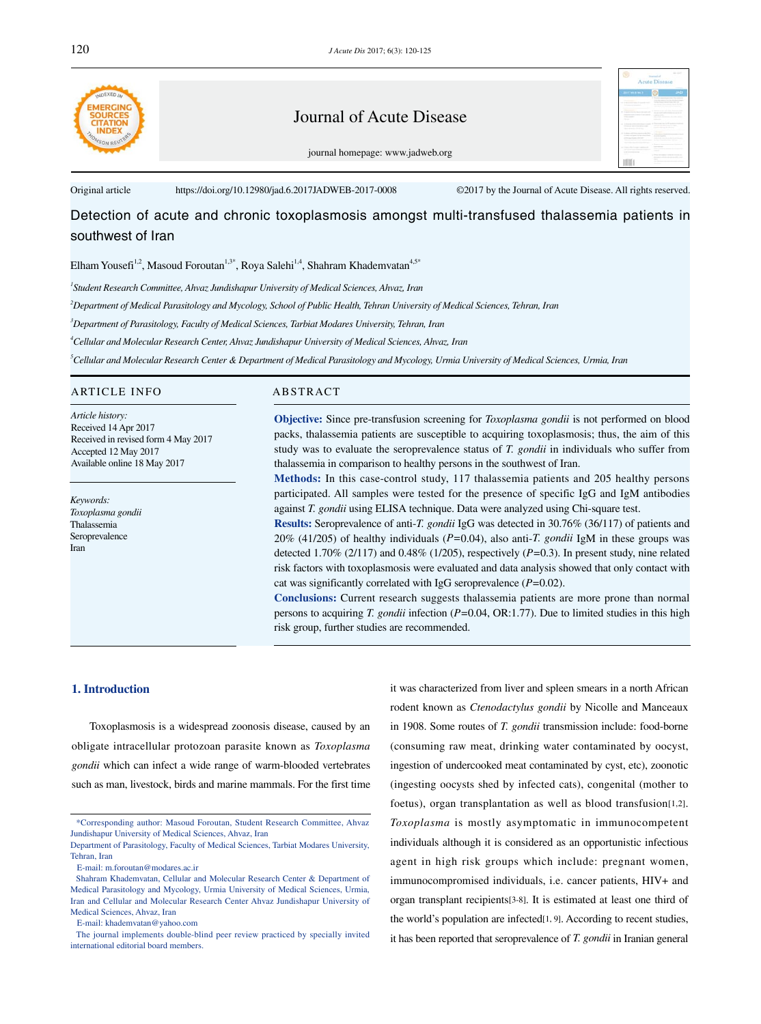

## Journal of Acute Disease

| <b>BSF Mal &amp; Tex 31</b> | ω   |                             |
|-----------------------------|-----|-----------------------------|
|                             | . . |                             |
|                             |     |                             |
|                             |     | ------                      |
| <b>CONTRACTOR</b><br>$\sim$ |     |                             |
|                             |     | <b>Continued by America</b> |
|                             |     |                             |
|                             |     | c                           |
|                             |     |                             |
| ----                        |     |                             |
|                             |     |                             |

journal homepage: www.jadweb.org

Original article https://doi.org/10.12980/jad.6.2017JADWEB-2017-0008 ©2017 by the Journal of Acute Disease. All rights reserved.

# Detection of acute and chronic toxoplasmosis amongst multi-transfused thalassemia patients in southwest of Iran

Elham Yousefi<sup>1,2</sup>, Masoud Foroutan<sup>1,3\*</sup>, Roya Salehi<sup>1,4</sup>, Shahram Khademvatan<sup>4,5\*</sup>

*1 Student Research Committee, Ahvaz Jundishapur University of Medical Sciences, Ahvaz, Iran* 

*2 Department of Medical Parasitology and Mycology, School of Public Health, Tehran University of Medical Sciences, Tehran, Iran*

*3 Department of Parasitology, Faculty of Medical Sciences, Tarbiat Modares University, Tehran, Iran* 

*4 Cellular and Molecular Research Center, Ahvaz Jundishapur University of Medical Sciences, Ahvaz, Iran*

*5 Cellular and Molecular Research Center & Department of Medical Parasitology and Mycology, Urmia University of Medical Sciences, Urmia, Iran*

## ARTICLE INFO ABSTRACT

*Article history:* Received 14 Apr 2017 Received in revised form 4 May 2017 Accepted 12 May 2017 Available online 18 May 2017

*Keywords: Toxoplasma gondii* Thalassemia Seroprevalence Iran

**Objective:** Since pre-transfusion screening for *Toxoplasma gondii* is not performed on blood packs, thalassemia patients are susceptible to acquiring toxoplasmosis; thus, the aim of this study was to evaluate the seroprevalence status of *T. gondii* in individuals who suffer from thalassemia in comparison to healthy persons in the southwest of Iran.

**Methods:** In this case-control study, 117 thalassemia patients and 205 healthy persons participated. All samples were tested for the presence of specific IgG and IgM antibodies against *T. gondii* using ELISA technique. Data were analyzed using Chi-square test.

**Results:** Seroprevalence of anti-*T. gondii* IgG was detected in 30.76% (36/117) of patients and 20% (41/205) of healthy individuals (*P=*0.04), also anti-*T. gondii* IgM in these groups was detected 1.70% (2/117) and 0.48% (1/205), respectively (*P=*0.3). In present study, nine related risk factors with toxoplasmosis were evaluated and data analysis showed that only contact with cat was significantly correlated with IgG seroprevalence (*P=*0.02).

**Conclusions:** Current research suggests thalassemia patients are more prone than normal persons to acquiring *T. gondii* infection (*P=*0.04, OR:1.77). Due to limited studies in this high risk group, further studies are recommended.

## **1. Introduction**

 Toxoplasmosis is a widespread zoonosis disease, caused by an obligate intracellular protozoan parasite known as *Toxoplasma gondii* which can infect a wide range of warm-blooded vertebrates such as man, livestock, birds and marine mammals. For the first time

it was characterized from liver and spleen smears in a north African rodent known as *Ctenodactylus gondii* by Nicolle and Manceaux in 1908. Some routes of *T. gondii* transmission include: food-borne (consuming raw meat, drinking water contaminated by oocyst, ingestion of undercooked meat contaminated by cyst, etc), zoonotic (ingesting oocysts shed by infected cats), congenital (mother to foetus), organ transplantation as well as blood transfusion[1,2]. *Toxoplasma* is mostly asymptomatic in immunocompetent individuals although it is considered as an opportunistic infectious agent in high risk groups which include: pregnant women, immunocompromised individuals, i.e. cancer patients, HIV+ and organ transplant recipients[3-8]. It is estimated at least one third of the world's population are infected[1, 9]. According to recent studies, it has been reported that seroprevalence of *T. gondii* in Iranian general

 <sup>\*</sup>Corresponding author: Masoud Foroutan, Student Research Committee, Ahvaz Jundishapur University of Medical Sciences, Ahvaz, Iran

Department of Parasitology, Faculty of Medical Sciences, Tarbiat Modares University, Tehran, Iran

E-mail: m.foroutan@modares.ac.ir

Shahram Khademvatan, Cellular and Molecular Research Center & Department of Medical Parasitology and Mycology, Urmia University of Medical Sciences, Urmia, Iran and Cellular and Molecular Research Center Ahvaz Jundishapur University of Medical Sciences, Ahvaz, Iran

E-mail: khademvatan@yahoo.com

The journal implements double-blind peer review practiced by specially invited international editorial board members.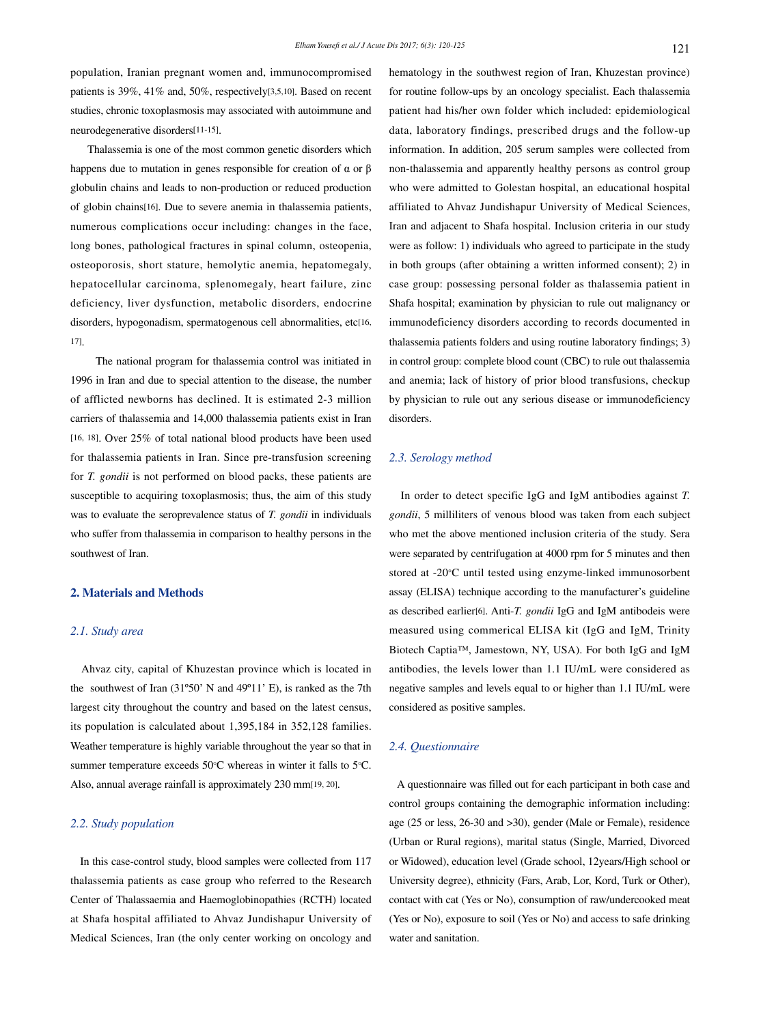population, Iranian pregnant women and, immunocompromised patients is 39%, 41% and, 50%, respectively[3,5,10]. Based on recent studies, chronic toxoplasmosis may associated with autoimmune and neurodegenerative disorders[11-15].

 Thalassemia is one of the most common genetic disorders which happens due to mutation in genes responsible for creation of  $\alpha$  or  $\beta$ globulin chains and leads to non-production or reduced production of globin chains[16]. Due to severe anemia in thalassemia patients, numerous complications occur including: changes in the face, long bones, pathological fractures in spinal column, osteopenia, osteoporosis, short stature, hemolytic anemia, hepatomegaly, hepatocellular carcinoma, splenomegaly, heart failure, zinc deficiency, liver dysfunction, metabolic disorders, endocrine disorders, hypogonadism, spermatogenous cell abnormalities, etc[16, 17].

 The national program for thalassemia control was initiated in 1996 in Iran and due to special attention to the disease, the number of afflicted newborns has declined. It is estimated 2-3 million carriers of thalassemia and 14,000 thalassemia patients exist in Iran [16, 18]. Over 25% of total national blood products have been used for thalassemia patients in Iran. Since pre-transfusion screening for *T. gondii* is not performed on blood packs, these patients are susceptible to acquiring toxoplasmosis; thus, the aim of this study was to evaluate the seroprevalence status of *T. gondii* in individuals who suffer from thalassemia in comparison to healthy persons in the southwest of Iran.

## **2. Materials and Methods**

## *2.1. Study area*

 Ahvaz city, capital of Khuzestan province which is located in the southwest of Iran (31º50' N and 49º11' E), is ranked as the 7th largest city throughout the country and based on the latest census, its population is calculated about 1,395,184 in 352,128 families. Weather temperature is highly variable throughout the year so that in summer temperature exceeds 50°C whereas in winter it falls to 5°C. Also, annual average rainfall is approximately 230 mm[19, 20].

## *2.2. Study population*

 In this case-control study, blood samples were collected from 117 thalassemia patients as case group who referred to the Research Center of Thalassaemia and Haemoglobinopathies (RCTH) located at Shafa hospital affiliated to Ahvaz Jundishapur University of Medical Sciences, Iran (the only center working on oncology and hematology in the southwest region of Iran, Khuzestan province) for routine follow-ups by an oncology specialist. Each thalassemia patient had his/her own folder which included: epidemiological data, laboratory findings, prescribed drugs and the follow-up information. In addition, 205 serum samples were collected from non-thalassemia and apparently healthy persons as control group who were admitted to Golestan hospital, an educational hospital affiliated to Ahvaz Jundishapur University of Medical Sciences, Iran and adjacent to Shafa hospital. Inclusion criteria in our study were as follow: 1) individuals who agreed to participate in the study in both groups (after obtaining a written informed consent); 2) in case group: possessing personal folder as thalassemia patient in Shafa hospital; examination by physician to rule out malignancy or immunodeficiency disorders according to records documented in thalassemia patients folders and using routine laboratory findings; 3) in control group: complete blood count (CBC) to rule out thalassemia and anemia; lack of history of prior blood transfusions, checkup by physician to rule out any serious disease or immunodeficiency disorders.

## *2.3. Serology method*

 In order to detect specific IgG and IgM antibodies against *T. gondii*, 5 milliliters of venous blood was taken from each subject who met the above mentioned inclusion criteria of the study. Sera were separated by centrifugation at 4000 rpm for 5 minutes and then stored at -20°C until tested using enzyme-linked immunosorbent assay (ELISA) technique according to the manufacturer's guideline as described earlier[6]. Anti-*T. gondii* IgG and IgM antibodeis were measured using commerical ELISA kit (IgG and IgM, Trinity Biotech Captia™, Jamestown, NY, USA). For both IgG and IgM antibodies, the levels lower than 1.1 IU/mL were considered as negative samples and levels equal to or higher than 1.1 IU/mL were considered as positive samples.

### *2.4. Questionnaire*

 A questionnaire was filled out for each participant in both case and control groups containing the demographic information including: age (25 or less, 26-30 and >30), gender (Male or Female), residence (Urban or Rural regions), marital status (Single, Married, Divorced or Widowed), education level (Grade school, 12years/High school or University degree), ethnicity (Fars, Arab, Lor, Kord, Turk or Other), contact with cat (Yes or No), consumption of raw/undercooked meat (Yes or No), exposure to soil (Yes or No) and access to safe drinking water and sanitation.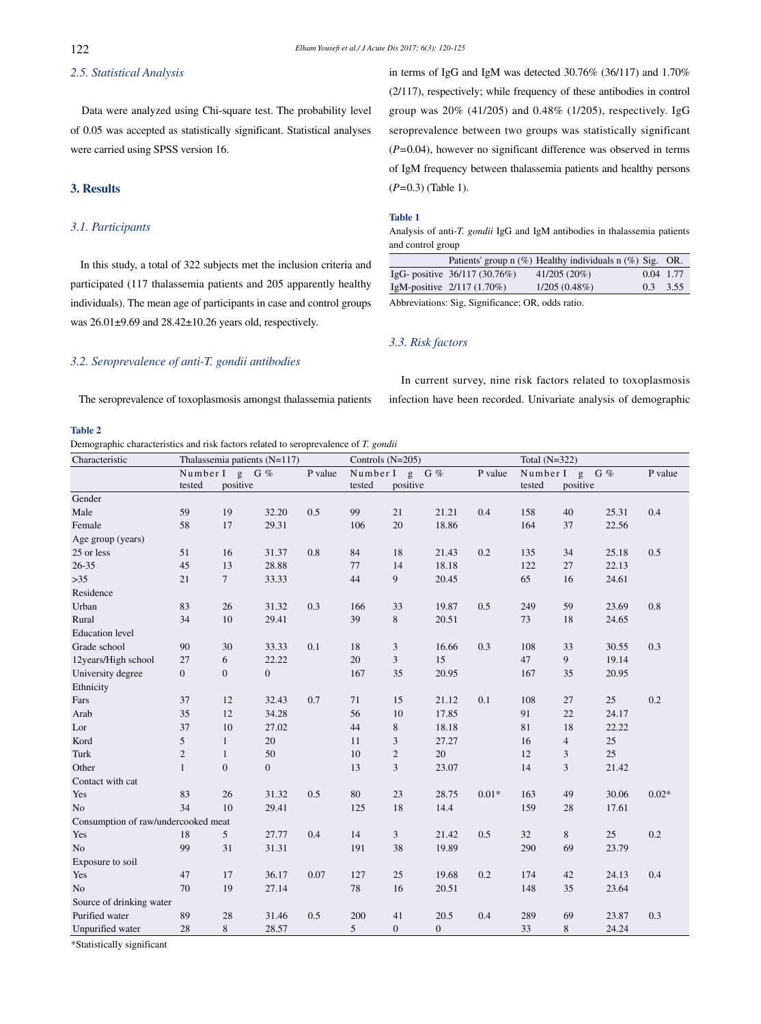## *2.5. Statistical Analysis*

 Data were analyzed using Chi-square test. The probability level of 0.05 was accepted as statistically significant. Statistical analyses were carried using SPSS version 16.

## **3. Results**

**Table 2** 

## *3.1. Participants*

 In this study, a total of 322 subjects met the inclusion criteria and participated (117 thalassemia patients and 205 apparently healthy individuals). The mean age of participants in case and control groups was 26.01±9.69 and 28.42±10.26 years old, respectively.

*3.2. Seroprevalence of anti-T. gondii antibodies*

in terms of IgG and IgM was detected 30.76% (36/117) and 1.70% (2/117), respectively; while frequency of these antibodies in control group was 20% (41/205) and 0.48% (1/205), respectively. IgG seroprevalence between two groups was statistically significant (*P=*0.04), however no significant difference was observed in terms of IgM frequency between thalassemia patients and healthy persons (*P=*0.3) (Table 1).

#### **Table 1**

Analysis of anti-*T. gondii* IgG and IgM antibodies in thalassemia patients and control group

|                                | Patients' group $n$ (%) Healthy individuals $n$ (%) Sig. OR. |            |  |
|--------------------------------|--------------------------------------------------------------|------------|--|
| IgG- positive $36/117(30.76%)$ | $41/205(20\%)$                                               | 0.04 1.77  |  |
| IgM-positive $2/117(1.70\%)$   | $1/205(0.48\%)$                                              | $0.3$ 3.55 |  |
|                                |                                                              |            |  |

In current survey, nine risk factors related to toxoplasmosis

Abbreviations: Sig, Significance; OR, odds ratio.

## *3.3. Risk factors*

 The seroprevalence of toxoplasmosis amongst thalassemia patients infection have been recorded. Univariate analysis of demographic

Demographic characteristics and risk factors related to seroprevalence of *T. gondii*

| Characteristic                      | Thalassemia patients (N=117) |                  |                |         | Controls (N=205) |                |              |         | Total $(N=322)$ |                |       |         |
|-------------------------------------|------------------------------|------------------|----------------|---------|------------------|----------------|--------------|---------|-----------------|----------------|-------|---------|
|                                     |                              | Number I g G %   |                | P value |                  | Number I g G % |              | P value |                 | Number I g G % |       | P value |
|                                     | tested                       | positive         |                |         | tested           | positive       |              |         | tested          | positive       |       |         |
| Gender                              |                              |                  |                |         |                  |                |              |         |                 |                |       |         |
| Male                                | 59                           | 19               | 32.20          | 0.5     | 99               | 21             | 21.21        | 0.4     | 158             | 40             | 25.31 | 0.4     |
| Female                              | 58                           | 17               | 29.31          |         | 106              | 20             | 18.86        |         | 164             | 37             | 22.56 |         |
| Age group (years)                   |                              |                  |                |         |                  |                |              |         |                 |                |       |         |
| 25 or less                          | 51                           | 16               | 31.37          | 0.8     | 84               | 18             | 21.43        | 0.2     | 135             | 34             | 25.18 | 0.5     |
| $26 - 35$                           | 45                           | 13               | 28.88          |         | 77               | 14             | 18.18        |         | 122             | 27             | 22.13 |         |
| $>35$                               | 21                           | $\tau$           | 33.33          |         | 44               | 9              | 20.45        |         | 65              | 16             | 24.61 |         |
| Residence                           |                              |                  |                |         |                  |                |              |         |                 |                |       |         |
| Urban                               | 83                           | 26               | 31.32          | 0.3     | 166              | 33             | 19.87        | 0.5     | 249             | 59             | 23.69 | 0.8     |
| Rural                               | 34                           | 10               | 29.41          |         | 39               | 8              | 20.51        |         | 73              | 18             | 24.65 |         |
| <b>Education</b> level              |                              |                  |                |         |                  |                |              |         |                 |                |       |         |
| Grade school                        | 90                           | 30               | 33.33          | 0.1     | 18               | 3              | 16.66        | 0.3     | 108             | 33             | 30.55 | 0.3     |
| 12years/High school                 | 27                           | 6                | 22.22          |         | 20               | 3              | 15           |         | 47              | 9              | 19.14 |         |
| University degree                   | $\overline{0}$               | $\boldsymbol{0}$ | $\overline{0}$ |         | 167              | 35             | 20.95        |         | 167             | 35             | 20.95 |         |
| Ethnicity                           |                              |                  |                |         |                  |                |              |         |                 |                |       |         |
| Fars                                | 37                           | 12               | 32.43          | 0.7     | 71               | 15             | 21.12        | 0.1     | 108             | 27             | 25    | 0.2     |
| Arab                                | 35                           | 12               | 34.28          |         | 56               | 10             | 17.85        |         | 91              | 22             | 24.17 |         |
| Lor                                 | 37                           | 10               | 27.02          |         | 44               | $8\,$          | 18.18        |         | 81              | 18             | 22.22 |         |
| Kord                                | 5                            | $\mathbf{1}$     | 20             |         | 11               | 3              | 27.27        |         | 16              | $\overline{4}$ | 25    |         |
| Turk                                | $\overline{2}$               | $\mathbf{1}$     | 50             |         | 10               | $\overline{2}$ | 20           |         | 12              | 3              | 25    |         |
| Other                               | $\mathbf{1}$                 | $\boldsymbol{0}$ | $\overline{0}$ |         | 13               | $\mathfrak{Z}$ | 23.07        |         | 14              | 3              | 21.42 |         |
| Contact with cat                    |                              |                  |                |         |                  |                |              |         |                 |                |       |         |
| Yes                                 | 83                           | 26               | 31.32          | 0.5     | 80               | $23\,$         | 28.75        | $0.01*$ | 163             | 49             | 30.06 | $0.02*$ |
| No                                  | 34                           | 10               | 29.41          |         | 125              | 18             | 14.4         |         | 159             | 28             | 17.61 |         |
| Consumption of raw/undercooked meat |                              |                  |                |         |                  |                |              |         |                 |                |       |         |
| Yes                                 | 18                           | 5                | 27.77          | 0.4     | 14               | 3              | 21.42        | 0.5     | 32              | 8              | 25    | 0.2     |
| No                                  | 99                           | 31               | 31.31          |         | 191              | 38             | 19.89        |         | 290             | 69             | 23.79 |         |
| Exposure to soil                    |                              |                  |                |         |                  |                |              |         |                 |                |       |         |
| Yes                                 | 47                           | 17               | 36.17          | 0.07    | 127              | 25             | 19.68        | 0.2     | 174             | 42             | 24.13 | 0.4     |
| N <sub>o</sub>                      | 70                           | 19               | 27.14          |         | 78               | 16             | 20.51        |         | 148             | 35             | 23.64 |         |
| Source of drinking water            |                              |                  |                |         |                  |                |              |         |                 |                |       |         |
| Purified water                      | 89                           | 28               | 31.46          | 0.5     | 200              | 41             | 20.5         | 0.4     | 289             | 69             | 23.87 | 0.3     |
| Unpurified water                    | 28                           | 8                | 28.57          |         | 5                | $\overline{0}$ | $\mathbf{0}$ |         | 33              | 8              | 24.24 |         |

\*Statistically significant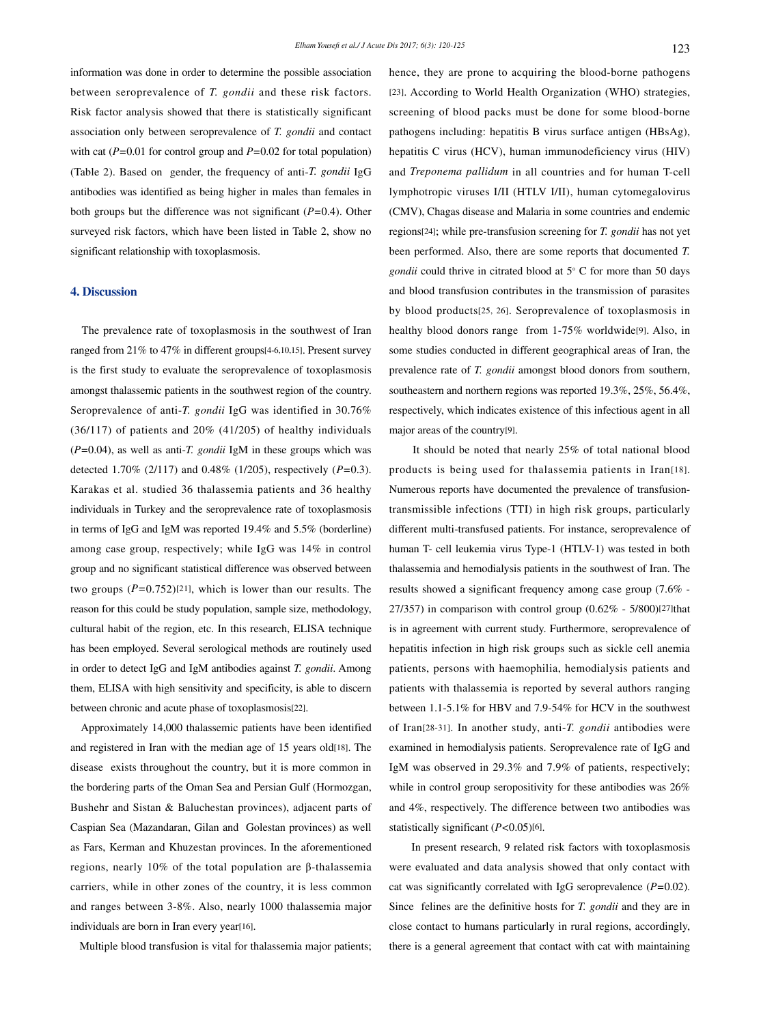information was done in order to determine the possible association between seroprevalence of *T. gondii* and these risk factors. Risk factor analysis showed that there is statistically significant association only between seroprevalence of *T. gondii* and contact with cat (*P=*0.01 for control group and *P=*0.02 for total population) (Table 2). Based on gender, the frequency of anti-*T. gondii* IgG antibodies was identified as being higher in males than females in both groups but the difference was not significant (*P=*0.4). Other surveyed risk factors, which have been listed in Table 2, show no significant relationship with toxoplasmosis.

## **4. Discussion**

 The prevalence rate of toxoplasmosis in the southwest of Iran ranged from 21% to 47% in different groups[4-6,10,15]. Present survey is the first study to evaluate the seroprevalence of toxoplasmosis amongst thalassemic patients in the southwest region of the country. Seroprevalence of anti-*T. gondii* IgG was identified in 30.76% (36/117) of patients and 20% (41/205) of healthy individuals (*P=*0.04), as well as anti-*T. gondii* IgM in these groups which was detected 1.70% (2/117) and 0.48% (1/205), respectively (*P=*0.3). Karakas et al. studied 36 thalassemia patients and 36 healthy individuals in Turkey and the seroprevalence rate of toxoplasmosis in terms of IgG and IgM was reported 19.4% and 5.5% (borderline) among case group, respectively; while IgG was 14% in control group and no significant statistical difference was observed between two groups (*P=*0.752)[21], which is lower than our results. The reason for this could be study population, sample size, methodology, cultural habit of the region, etc. In this research, ELISA technique has been employed. Several serological methods are routinely used in order to detect IgG and IgM antibodies against *T. gondii*. Among them, ELISA with high sensitivity and specificity, is able to discern between chronic and acute phase of toxoplasmosis[22].

 Approximately 14,000 thalassemic patients have been identified and registered in Iran with the median age of 15 years old[18]. The disease exists throughout the country, but it is more common in the bordering parts of the Oman Sea and Persian Gulf (Hormozgan, Bushehr and Sistan & Baluchestan provinces), adjacent parts of Caspian Sea (Mazandaran, Gilan and Golestan provinces) as well as Fars, Kerman and Khuzestan provinces. In the aforementioned regions, nearly 10% of the total population are β-thalassemia carriers, while in other zones of the country, it is less common and ranges between 3-8%. Also, nearly 1000 thalassemia major individuals are born in Iran every year[16].

Multiple blood transfusion is vital for thalassemia major patients;

hence, they are prone to acquiring the blood-borne pathogens [23]. According to World Health Organization (WHO) strategies, screening of blood packs must be done for some blood-borne pathogens including: hepatitis B virus surface antigen (HBsAg), hepatitis C virus (HCV), human immunodeficiency virus (HIV) and *Treponema pallidum* in all countries and for human T-cell lymphotropic viruses I/II (HTLV I/II), human cytomegalovirus (CMV), Chagas disease and Malaria in some countries and endemic regions[24]; while pre-transfusion screening for *T. gondii* has not yet been performed. Also, there are some reports that documented *T. gondii* could thrive in citrated blood at 5° C for more than 50 days and blood transfusion contributes in the transmission of parasites by blood products[25, 26]. Seroprevalence of toxoplasmosis in healthy blood donors range from 1-75% worldwide[9]. Also, in some studies conducted in different geographical areas of Iran, the prevalence rate of *T. gondii* amongst blood donors from southern, southeastern and northern regions was reported 19.3%, 25%, 56.4%, respectively, which indicates existence of this infectious agent in all major areas of the country[9].

 It should be noted that nearly 25% of total national blood products is being used for thalassemia patients in Iran[18]. Numerous reports have documented the prevalence of transfusiontransmissible infections (TTI) in high risk groups, particularly different multi-transfused patients. For instance, seroprevalence of human T- cell leukemia virus Type-1 (HTLV-1) was tested in both thalassemia and hemodialysis patients in the southwest of Iran. The results showed a significant frequency among case group (7.6% - 27/357) in comparison with control group  $(0.62\% - 5/800)$ [27]that is in agreement with current study. Furthermore, seroprevalence of hepatitis infection in high risk groups such as sickle cell anemia patients, persons with haemophilia, hemodialysis patients and patients with thalassemia is reported by several authors ranging between 1.1-5.1% for HBV and 7.9-54% for HCV in the southwest of Iran[28-31]. In another study, anti-*T. gondii* antibodies were examined in hemodialysis patients. Seroprevalence rate of IgG and IgM was observed in 29.3% and 7.9% of patients, respectively; while in control group seropositivity for these antibodies was 26% and 4%, respectively. The difference between two antibodies was statistically significant (*P<*0.05)[6].

 In present research, 9 related risk factors with toxoplasmosis were evaluated and data analysis showed that only contact with cat was significantly correlated with IgG seroprevalence (*P=*0.02). Since felines are the definitive hosts for *T. gondii* and they are in close contact to humans particularly in rural regions, accordingly, there is a general agreement that contact with cat with maintaining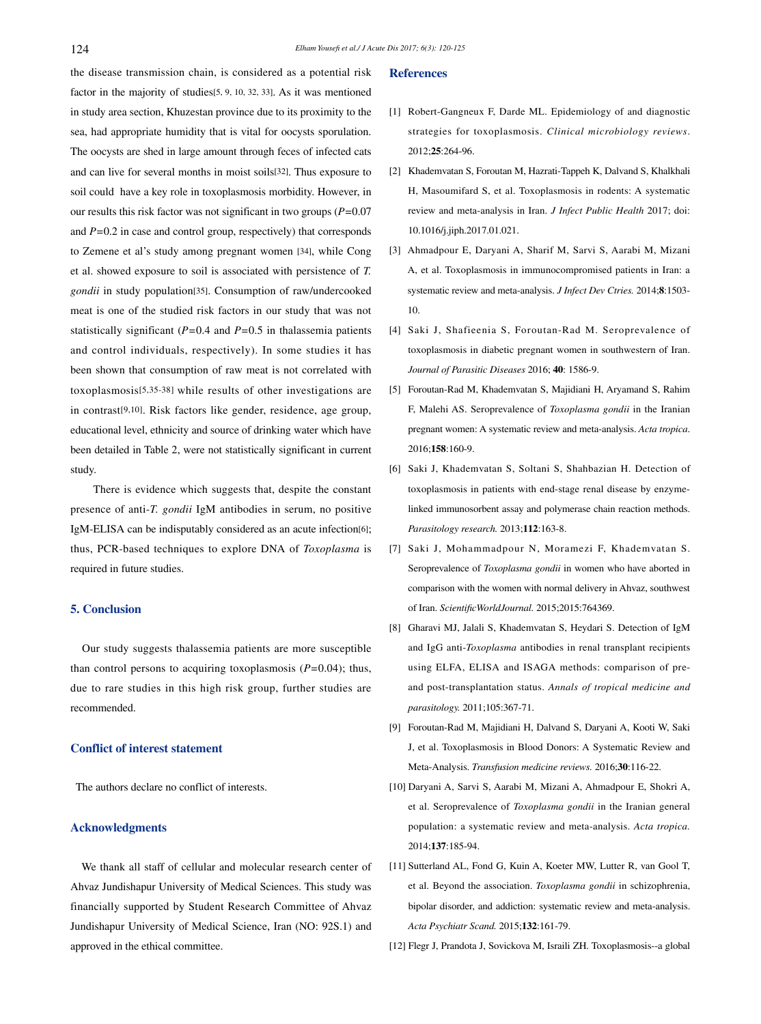the disease transmission chain, is considered as a potential risk factor in the majority of studies[5, 9, 10, 32, 33]. As it was mentioned in study area section, Khuzestan province due to its proximity to the sea, had appropriate humidity that is vital for oocysts sporulation. The oocysts are shed in large amount through feces of infected cats and can live for several months in moist soils[32]. Thus exposure to soil could have a key role in toxoplasmosis morbidity. However, in our results this risk factor was not significant in two groups (*P=*0.07 and *P=*0.2 in case and control group, respectively) that corresponds to Zemene et al's study among pregnant women [34], while Cong et al. showed exposure to soil is associated with persistence of *T. gondii* in study population[35]. Consumption of raw/undercooked meat is one of the studied risk factors in our study that was not statistically significant (*P=*0.4 and *P=*0.5 in thalassemia patients and control individuals, respectively). In some studies it has been shown that consumption of raw meat is not correlated with toxoplasmosis[5,35-38] while results of other investigations are in contrast[9,10]. Risk factors like gender, residence, age group, educational level, ethnicity and source of drinking water which have been detailed in Table 2, were not statistically significant in current study.

 There is evidence which suggests that, despite the constant presence of anti-*T. gondii* IgM antibodies in serum, no positive IgM-ELISA can be indisputably considered as an acute infection[6]; thus, PCR-based techniques to explore DNA of *Toxoplasma* is required in future studies.

## **5. Conclusion**

 Our study suggests thalassemia patients are more susceptible than control persons to acquiring toxoplasmosis (*P=*0.04); thus, due to rare studies in this high risk group, further studies are recommended.

## **Conflict of interest statement**

The authors declare no conflict of interests.

## **Acknowledgments**

 We thank all staff of cellular and molecular research center of Ahvaz Jundishapur University of Medical Sciences. This study was financially supported by Student Research Committee of Ahvaz Jundishapur University of Medical Science, Iran (NO: 92S.1) and approved in the ethical committee.

## **References**

- [1] Robert-Gangneux F, Darde ML. Epidemiology of and diagnostic strategies for toxoplasmosis. *Clinical microbiology reviews*. 2012;**25**:264-96.
- [2] Khademvatan S, Foroutan M, Hazrati-Tappeh K, Dalvand S, Khalkhali H, Masoumifard S, et al. Toxoplasmosis in rodents: A systematic review and meta-analysis in Iran. *J Infect Public Health* 2017; doi: 10.1016/j.jiph.2017.01.021.
- [3] Ahmadpour E, Daryani A, Sharif M, Sarvi S, Aarabi M, Mizani A, et al. Toxoplasmosis in immunocompromised patients in Iran: a systematic review and meta-analysis. *J Infect Dev Ctries.* 2014;**8**:1503- 10.
- [4] Saki J, Shafieenia S, Foroutan-Rad M. Seroprevalence of toxoplasmosis in diabetic pregnant women in southwestern of Iran. *Journal of Parasitic Diseases* 2016; **40**: 1586-9.
- [5] Foroutan-Rad M, Khademvatan S, Majidiani H, Aryamand S, Rahim F, Malehi AS. Seroprevalence of *Toxoplasma gondii* in the Iranian pregnant women: A systematic review and meta-analysis. *Acta tropica*. 2016;**158**:160-9.
- [6] Saki J, Khademvatan S, Soltani S, Shahbazian H. Detection of toxoplasmosis in patients with end-stage renal disease by enzymelinked immunosorbent assay and polymerase chain reaction methods. *Parasitology research.* 2013;**112**:163-8.
- [7] Saki J, Mohammadpour N, Moramezi F, Khademvatan S. Seroprevalence of *Toxoplasma gondii* in women who have aborted in comparison with the women with normal delivery in Ahvaz, southwest of Iran. *ScientificWorldJournal.* 2015;2015:764369.
- [8] Gharavi MJ, Jalali S, Khademvatan S, Heydari S. Detection of IgM and IgG anti-*Toxoplasma* antibodies in renal transplant recipients using ELFA, ELISA and ISAGA methods: comparison of preand post-transplantation status. *Annals of tropical medicine and parasitology.* 2011;105:367-71.
- [9] Foroutan-Rad M, Majidiani H, Dalvand S, Daryani A, Kooti W, Saki J, et al. Toxoplasmosis in Blood Donors: A Systematic Review and Meta-Analysis. *Transfusion medicine reviews.* 2016;**30**:116-22.
- [10] Daryani A, Sarvi S, Aarabi M, Mizani A, Ahmadpour E, Shokri A, et al. Seroprevalence of *Toxoplasma gondii* in the Iranian general population: a systematic review and meta-analysis. *Acta tropica.*  2014;**137**:185-94.
- [11] Sutterland AL, Fond G, Kuin A, Koeter MW, Lutter R, van Gool T, et al. Beyond the association. *Toxoplasma gondii* in schizophrenia, bipolar disorder, and addiction: systematic review and meta-analysis. *Acta Psychiatr Scand.* 2015;**132**:161-79.
- [12] Flegr J, Prandota J, Sovickova M, Israili ZH. Toxoplasmosis--a global